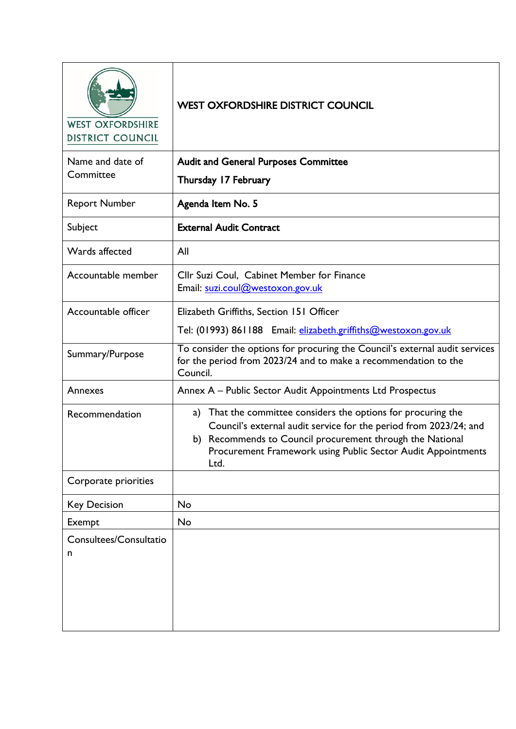WEST OXFORDSHIRE **DISTRICT COUNCIL** 

# WEST OXFORDSHIRE DISTRICT COUNCIL

| Name and date of<br>Committee | <b>Audit and General Purposes Committee</b><br>Thursday 17 February                                                                                                                                                                                                     |
|-------------------------------|-------------------------------------------------------------------------------------------------------------------------------------------------------------------------------------------------------------------------------------------------------------------------|
| <b>Report Number</b>          | Agenda Item No. 5                                                                                                                                                                                                                                                       |
| Subject                       | <b>External Audit Contract</b>                                                                                                                                                                                                                                          |
| Wards affected                | All                                                                                                                                                                                                                                                                     |
| Accountable member            | Cllr Suzi Coul, Cabinet Member for Finance<br>Email: suzi.coul@westoxon.gov.uk                                                                                                                                                                                          |
| Accountable officer           | Elizabeth Griffiths, Section 151 Officer<br>Tel: (01993) 861188 Email: elizabeth.griffiths@westoxon.gov.uk                                                                                                                                                              |
| Summary/Purpose               | To consider the options for procuring the Council's external audit services<br>for the period from 2023/24 and to make a recommendation to the<br>Council.                                                                                                              |
| Annexes                       | Annex A - Public Sector Audit Appointments Ltd Prospectus                                                                                                                                                                                                               |
| Recommendation                | a) That the committee considers the options for procuring the<br>Council's external audit service for the period from 2023/24; and<br>b) Recommends to Council procurement through the National<br>Procurement Framework using Public Sector Audit Appointments<br>Ltd. |
| Corporate priorities          |                                                                                                                                                                                                                                                                         |
| <b>Key Decision</b>           | <b>No</b>                                                                                                                                                                                                                                                               |
| Exempt                        | No                                                                                                                                                                                                                                                                      |
| Consultees/Consultatio<br>n   |                                                                                                                                                                                                                                                                         |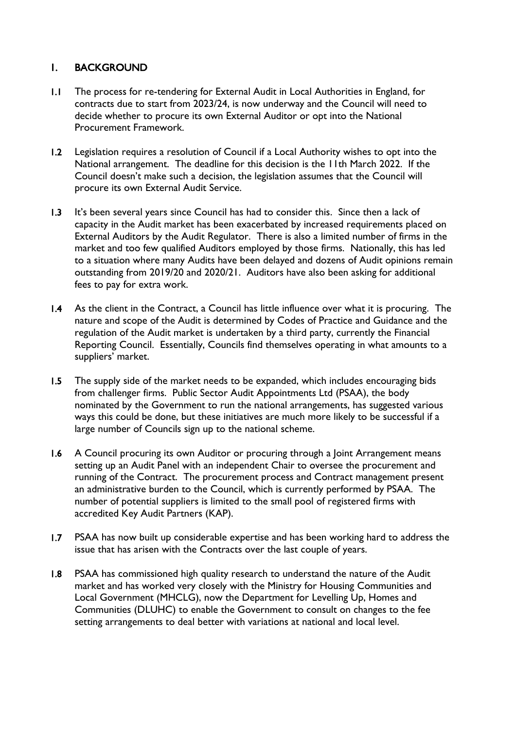### 1. BACKGROUND

- 1.1 The process for re-tendering for External Audit in Local Authorities in England, for contracts due to start from 2023/24, is now underway and the Council will need to decide whether to procure its own External Auditor or opt into the National Procurement Framework.
- 1.2 Legislation requires a resolution of Council if a Local Authority wishes to opt into the National arrangement. The deadline for this decision is the 11th March 2022. If the Council doesn't make such a decision, the legislation assumes that the Council will procure its own External Audit Service.
- 1.3 It's been several years since Council has had to consider this. Since then a lack of capacity in the Audit market has been exacerbated by increased requirements placed on External Auditors by the Audit Regulator. There is also a limited number of firms in the market and too few qualified Auditors employed by those firms. Nationally, this has led to a situation where many Audits have been delayed and dozens of Audit opinions remain outstanding from 2019/20 and 2020/21. Auditors have also been asking for additional fees to pay for extra work.
- 1.4 As the client in the Contract, a Council has little influence over what it is procuring. The nature and scope of the Audit is determined by Codes of Practice and Guidance and the regulation of the Audit market is undertaken by a third party, currently the Financial Reporting Council. Essentially, Councils find themselves operating in what amounts to a suppliers' market.
- 1.5 The supply side of the market needs to be expanded, which includes encouraging bids from challenger firms. Public Sector Audit Appointments Ltd (PSAA), the body nominated by the Government to run the national arrangements, has suggested various ways this could be done, but these initiatives are much more likely to be successful if a large number of Councils sign up to the national scheme.
- 1.6 A Council procuring its own Auditor or procuring through a Joint Arrangement means setting up an Audit Panel with an independent Chair to oversee the procurement and running of the Contract. The procurement process and Contract management present an administrative burden to the Council, which is currently performed by PSAA. The number of potential suppliers is limited to the small pool of registered firms with accredited Key Audit Partners (KAP).
- 1.7 PSAA has now built up considerable expertise and has been working hard to address the issue that has arisen with the Contracts over the last couple of years.
- 1.8 PSAA has commissioned high quality research to understand the nature of the Audit market and has worked very closely with the Ministry for Housing Communities and Local Government (MHCLG), now the Department for Levelling Up, Homes and Communities (DLUHC) to enable the Government to consult on changes to the fee setting arrangements to deal better with variations at national and local level.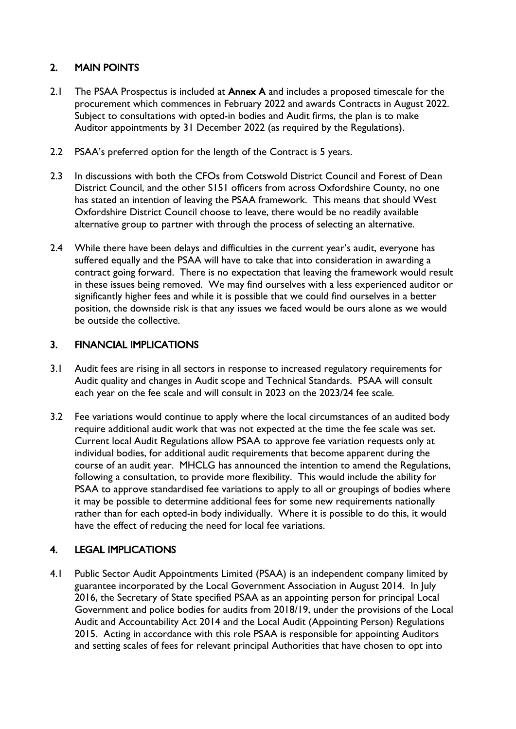## 2. MAIN POINTS

- 2.1 The PSAA Prospectus is included at **Annex A** and includes a proposed timescale for the procurement which commences in February 2022 and awards Contracts in August 2022. Subject to consultations with opted-in bodies and Audit firms, the plan is to make Auditor appointments by 31 December 2022 (as required by the Regulations).
- 2.2 PSAA's preferred option for the length of the Contract is 5 years.
- 2.3 In discussions with both the CFOs from Cotswold District Council and Forest of Dean District Council, and the other S151 officers from across Oxfordshire County, no one has stated an intention of leaving the PSAA framework. This means that should West Oxfordshire District Council choose to leave, there would be no readily available alternative group to partner with through the process of selecting an alternative.
- 2.4 While there have been delays and difficulties in the current year's audit, everyone has suffered equally and the PSAA will have to take that into consideration in awarding a contract going forward. There is no expectation that leaving the framework would result in these issues being removed. We may find ourselves with a less experienced auditor or significantly higher fees and while it is possible that we could find ourselves in a better position, the downside risk is that any issues we faced would be ours alone as we would be outside the collective.

### 3. FINANCIAL IMPLICATIONS

- 3.1 Audit fees are rising in all sectors in response to increased regulatory requirements for Audit quality and changes in Audit scope and Technical Standards. PSAA will consult each year on the fee scale and will consult in 2023 on the 2023/24 fee scale.
- 3.2 Fee variations would continue to apply where the local circumstances of an audited body require additional audit work that was not expected at the time the fee scale was set. Current local Audit Regulations allow PSAA to approve fee variation requests only at individual bodies, for additional audit requirements that become apparent during the course of an audit year. MHCLG has announced the intention to amend the Regulations, following a consultation, to provide more flexibility. This would include the ability for PSAA to approve standardised fee variations to apply to all or groupings of bodies where it may be possible to determine additional fees for some new requirements nationally rather than for each opted-in body individually. Where it is possible to do this, it would have the effect of reducing the need for local fee variations.

# 4. LEGAL IMPLICATIONS

4.1 Public Sector Audit Appointments Limited (PSAA) is an independent company limited by guarantee incorporated by the Local Government Association in August 2014. In July 2016, the Secretary of State specified PSAA as an appointing person for principal Local Government and police bodies for audits from 2018/19, under the provisions of the Local Audit and Accountability Act 2014 and the Local Audit (Appointing Person) Regulations 2015. Acting in accordance with this role PSAA is responsible for appointing Auditors and setting scales of fees for relevant principal Authorities that have chosen to opt into